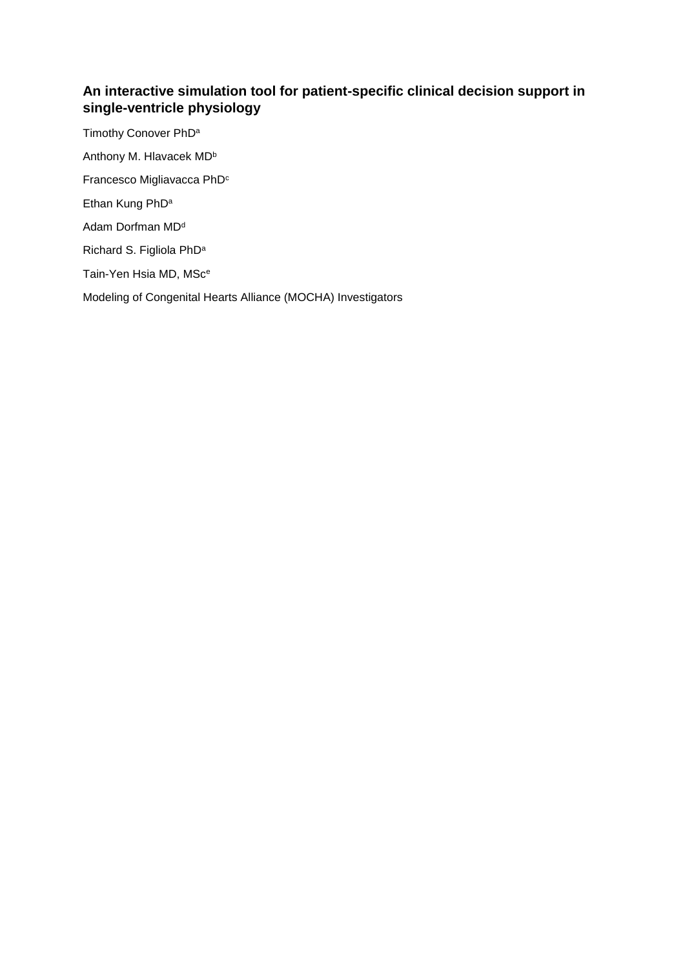# **An interactive simulation tool for patient-specific clinical decision support in single-ventricle physiology**

Timothy Conover PhD<sup>a</sup> Anthony M. Hlavacek MD<sup>b</sup> Francesco Migliavacca PhD<sup>c</sup> Ethan Kung PhD<sup>a</sup> Adam Dorfman MD<sup>d</sup> Richard S. Figliola PhD<sup>a</sup> Tain-Yen Hsia MD, MSc<sup>e</sup> Modeling of Congenital Hearts Alliance (MOCHA) Investigators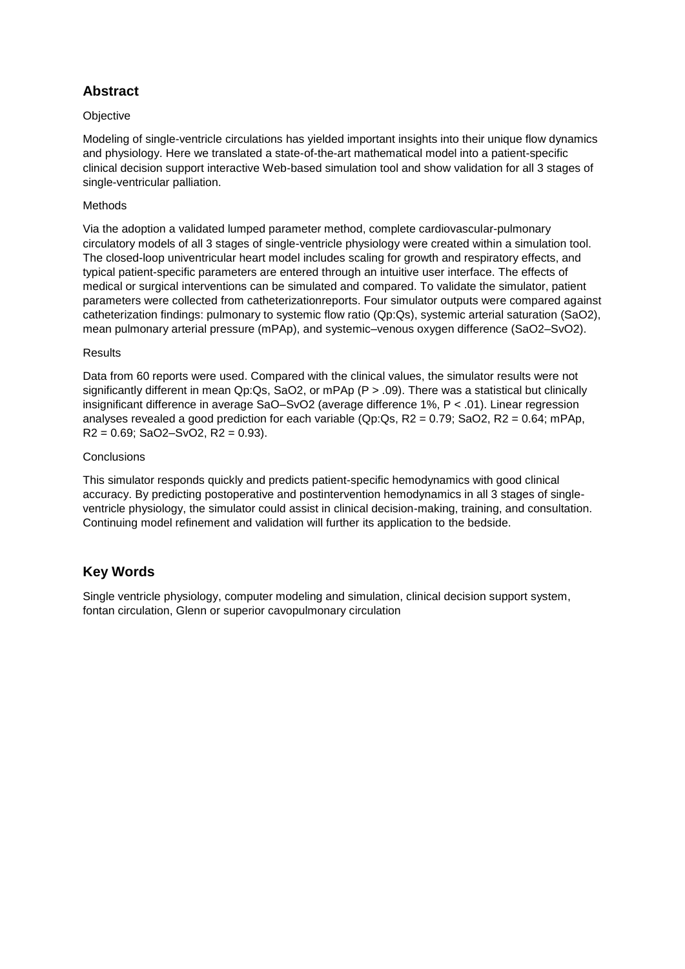# **Abstract**

## **Objective**

Modeling of single-ventricle circulations has yielded important insights into their unique flow dynamics and physiology. Here we translated a state-of-the-art mathematical model into a patient-specific clinical decision support interactive Web-based simulation tool and show validation for all 3 stages of single-ventricular palliation.

## Methods

Via the adoption a validated lumped parameter method, complete cardiovascular-pulmonary circulatory models of all 3 stages of single-ventricle physiology were created within a simulation tool. The closed-loop univentricular heart model includes scaling for growth and respiratory effects, and typical patient-specific parameters are entered through an intuitive user interface. The effects of medical or surgical interventions can be simulated and compared. To validate the simulator, patient parameters were collected from catheterizationreports. Four simulator outputs were compared against catheterization findings: pulmonary to systemic flow ratio (Qp:Qs), systemic arterial saturation (SaO2), mean pulmonary arterial pressure (mPAp), and systemic–venous oxygen difference (SaO2–SvO2).

## Results

Data from 60 reports were used. Compared with the clinical values, the simulator results were not significantly different in mean Qp:Qs, SaO2, or mPAp (P > .09). There was a statistical but clinically insignificant difference in average SaO–SvO2 (average difference 1%, P < .01). Linear regression analyses revealed a good prediction for each variable (Qp:Qs,  $R2 = 0.79$ ; SaO2,  $R2 = 0.64$ ; mPAp,  $R2 = 0.69$ ; SaO2–SvO2,  $R2 = 0.93$ ).

## **Conclusions**

This simulator responds quickly and predicts patient-specific hemodynamics with good clinical accuracy. By predicting postoperative and postintervention hemodynamics in all 3 stages of singleventricle physiology, the simulator could assist in clinical decision-making, training, and consultation. Continuing model refinement and validation will further its application to the bedside.

# **Key Words**

Single ventricle physiology, computer modeling and simulation, clinical decision support system, fontan circulation, Glenn or superior cavopulmonary circulation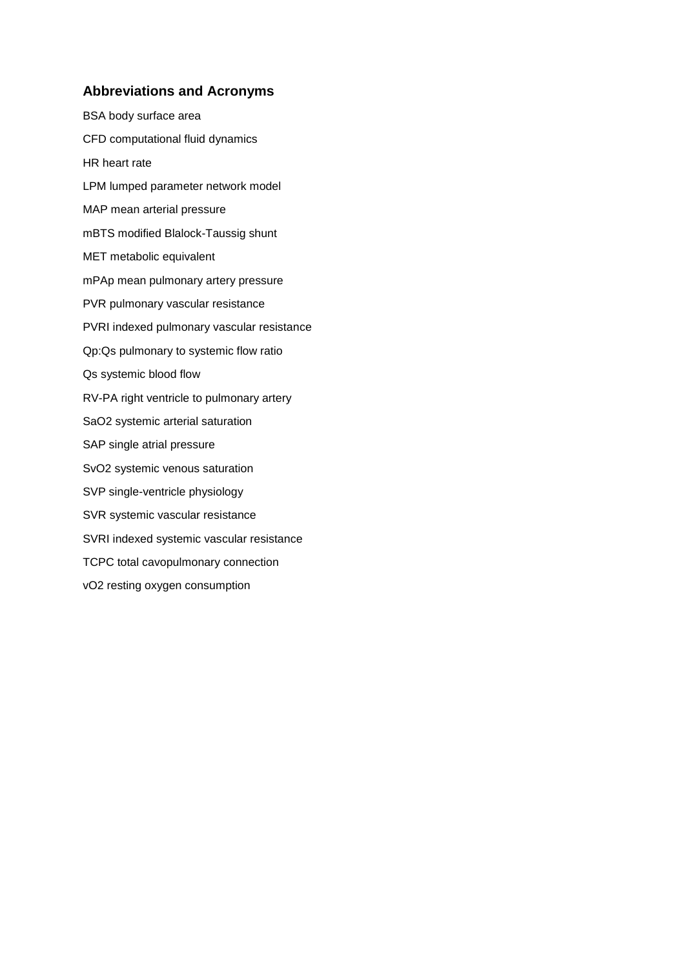## **Abbreviations and Acronyms**

BSA body surface area CFD computational fluid dynamics HR heart rate LPM lumped parameter network model MAP mean arterial pressure mBTS modified Blalock-Taussig shunt MET metabolic equivalent mPAp mean pulmonary artery pressure PVR pulmonary vascular resistance PVRI indexed pulmonary vascular resistance Qp:Qs pulmonary to systemic flow ratio Qs systemic blood flow RV-PA right ventricle to pulmonary artery SaO2 systemic arterial saturation SAP single atrial pressure SvO2 systemic venous saturation SVP single-ventricle physiology SVR systemic vascular resistance SVRI indexed systemic vascular resistance TCPC total cavopulmonary connection vO2 resting oxygen consumption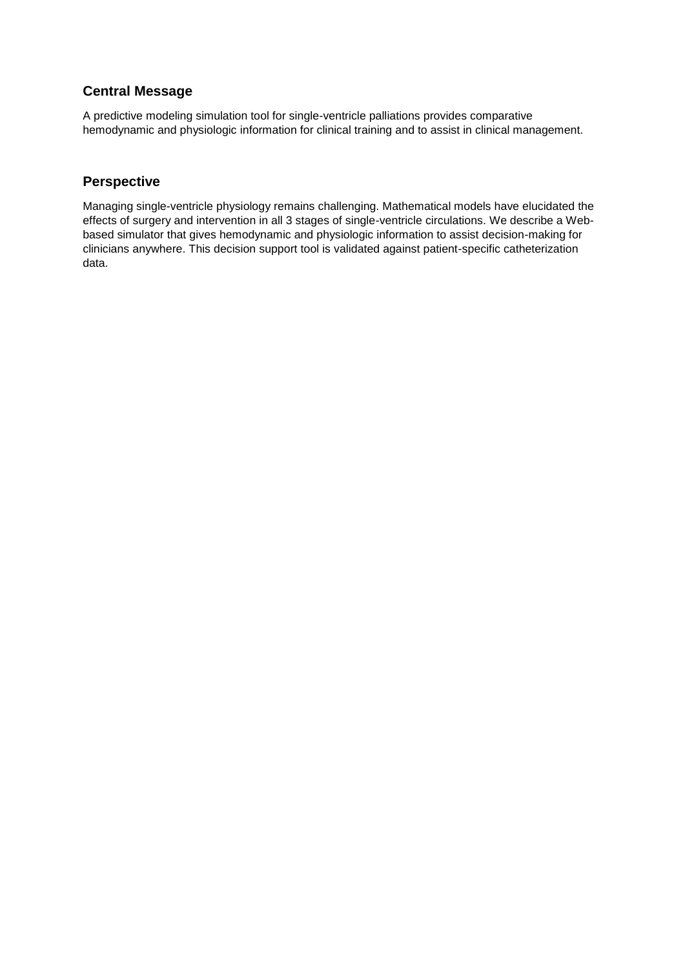# **Central Message**

A predictive modeling simulation tool for single-ventricle palliations provides comparative hemodynamic and physiologic information for clinical training and to assist in clinical management.

# **Perspective**

Managing single-ventricle physiology remains challenging. Mathematical models have elucidated the effects of surgery and intervention in all 3 stages of single-ventricle circulations. We describe a Webbased simulator that gives hemodynamic and physiologic information to assist decision-making for clinicians anywhere. This decision support tool is validated against patient-specific catheterization data.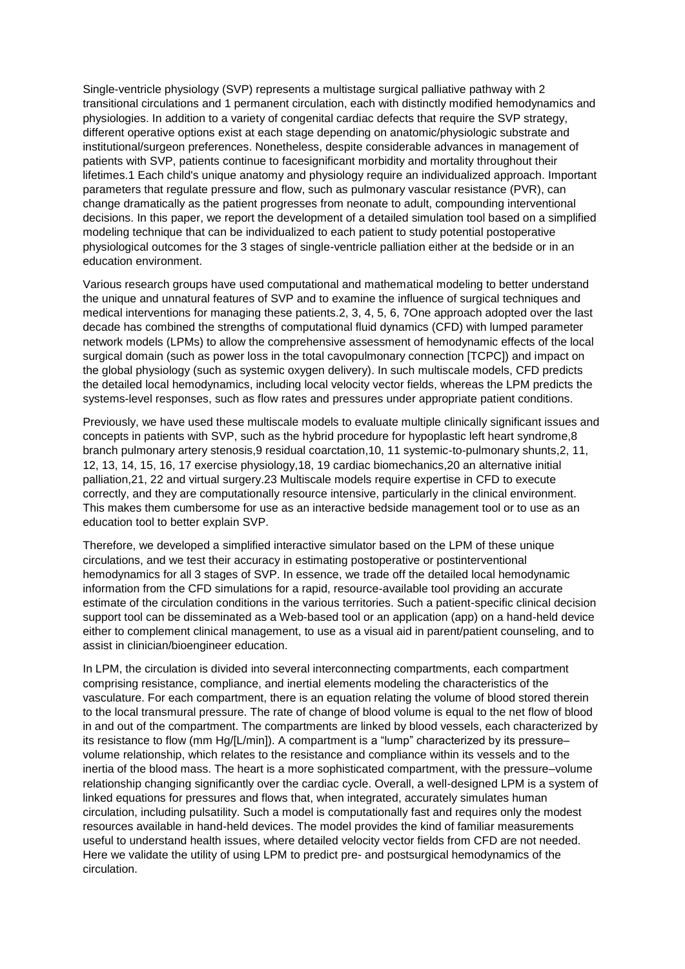Single-ventricle physiology (SVP) represents a multistage surgical palliative pathway with 2 transitional circulations and 1 permanent circulation, each with distinctly modified hemodynamics and physiologies. In addition to a variety of congenital cardiac defects that require the SVP strategy, different operative options exist at each stage depending on anatomic/physiologic substrate and institutional/surgeon preferences. Nonetheless, despite considerable advances in management of patients with SVP, patients continue to facesignificant morbidity and mortality throughout their lifetimes.1 Each child's unique anatomy and physiology require an individualized approach. Important parameters that regulate pressure and flow, such as pulmonary vascular resistance (PVR), can change dramatically as the patient progresses from neonate to adult, compounding interventional decisions. In this paper, we report the development of a detailed simulation tool based on a simplified modeling technique that can be individualized to each patient to study potential postoperative physiological outcomes for the 3 stages of single-ventricle palliation either at the bedside or in an education environment.

Various research groups have used computational and mathematical modeling to better understand the unique and unnatural features of SVP and to examine the influence of surgical techniques and medical interventions for managing these patients.2, 3, 4, 5, 6, 7One approach adopted over the last decade has combined the strengths of computational fluid dynamics (CFD) with lumped parameter network models (LPMs) to allow the comprehensive assessment of hemodynamic effects of the local surgical domain (such as power loss in the total cavopulmonary connection [TCPC]) and impact on the global physiology (such as systemic oxygen delivery). In such multiscale models, CFD predicts the detailed local hemodynamics, including local velocity vector fields, whereas the LPM predicts the systems-level responses, such as flow rates and pressures under appropriate patient conditions.

Previously, we have used these multiscale models to evaluate multiple clinically significant issues and concepts in patients with SVP, such as the hybrid procedure for hypoplastic left heart syndrome,8 branch pulmonary artery stenosis,9 residual coarctation,10, 11 systemic-to-pulmonary shunts,2, 11, 12, 13, 14, 15, 16, 17 exercise physiology,18, 19 cardiac biomechanics,20 an alternative initial palliation,21, 22 and virtual surgery.23 Multiscale models require expertise in CFD to execute correctly, and they are computationally resource intensive, particularly in the clinical environment. This makes them cumbersome for use as an interactive bedside management tool or to use as an education tool to better explain SVP.

Therefore, we developed a simplified interactive simulator based on the LPM of these unique circulations, and we test their accuracy in estimating postoperative or postinterventional hemodynamics for all 3 stages of SVP. In essence, we trade off the detailed local hemodynamic information from the CFD simulations for a rapid, resource-available tool providing an accurate estimate of the circulation conditions in the various territories. Such a patient-specific clinical decision support tool can be disseminated as a Web-based tool or an application (app) on a hand-held device either to complement clinical management, to use as a visual aid in parent/patient counseling, and to assist in clinician/bioengineer education.

In LPM, the circulation is divided into several interconnecting compartments, each compartment comprising resistance, compliance, and inertial elements modeling the characteristics of the vasculature. For each compartment, there is an equation relating the volume of blood stored therein to the local transmural pressure. The rate of change of blood volume is equal to the net flow of blood in and out of the compartment. The compartments are linked by blood vessels, each characterized by its resistance to flow (mm Hg/[L/min]). A compartment is a "lump" characterized by its pressure– volume relationship, which relates to the resistance and compliance within its vessels and to the inertia of the blood mass. The heart is a more sophisticated compartment, with the pressure–volume relationship changing significantly over the cardiac cycle. Overall, a well-designed LPM is a system of linked equations for pressures and flows that, when integrated, accurately simulates human circulation, including pulsatility. Such a model is computationally fast and requires only the modest resources available in hand-held devices. The model provides the kind of familiar measurements useful to understand health issues, where detailed velocity vector fields from CFD are not needed. Here we validate the utility of using LPM to predict pre- and postsurgical hemodynamics of the circulation.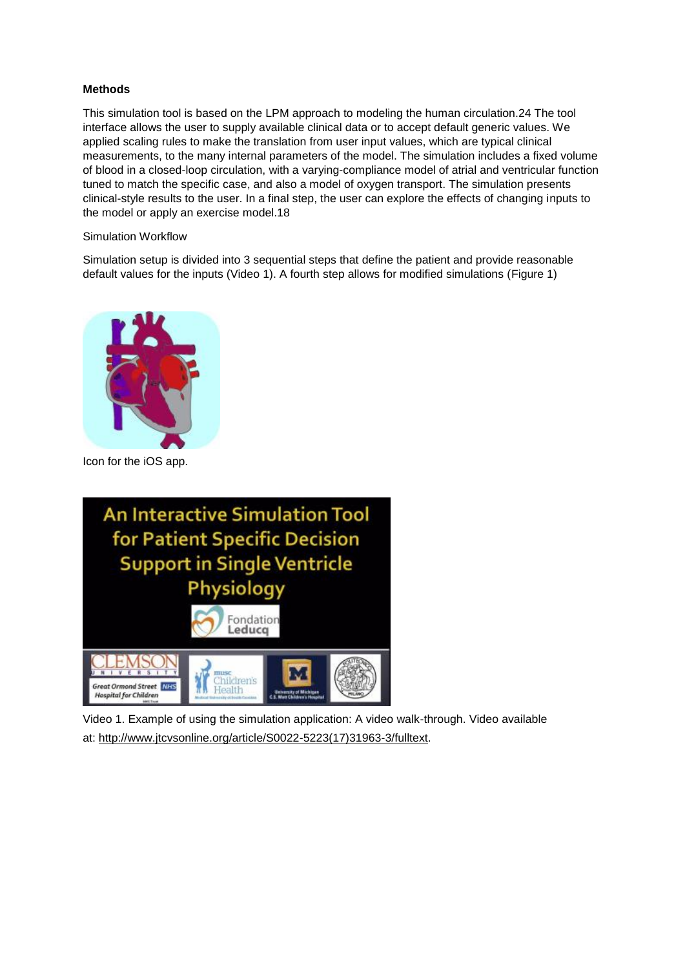## **Methods**

This simulation tool is based on the LPM approach to modeling the human circulation.24 The tool interface allows the user to supply available clinical data or to accept default generic values. We applied scaling rules to make the translation from user input values, which are typical clinical measurements, to the many internal parameters of the model. The simulation includes a fixed volume of blood in a closed-loop circulation, with a varying-compliance model of atrial and ventricular function tuned to match the specific case, and also a model of oxygen transport. The simulation presents clinical-style results to the user. In a final step, the user can explore the effects of changing inputs to the model or apply an exercise model.18

### Simulation Workflow

Simulation setup is divided into 3 sequential steps that define the patient and provide reasonable default values for the inputs (Video 1). A fourth step allows for modified simulations (Figure 1)



Icon for the iOS app.



Video 1. Example of using the simulation application: A video walk-through. Video available at: [http://www.jtcvsonline.org/article/S0022-5223\(17\)31963-3/fulltext.](http://www.jtcvsonline.org/article/S0022-5223(17)31963-3/fulltext)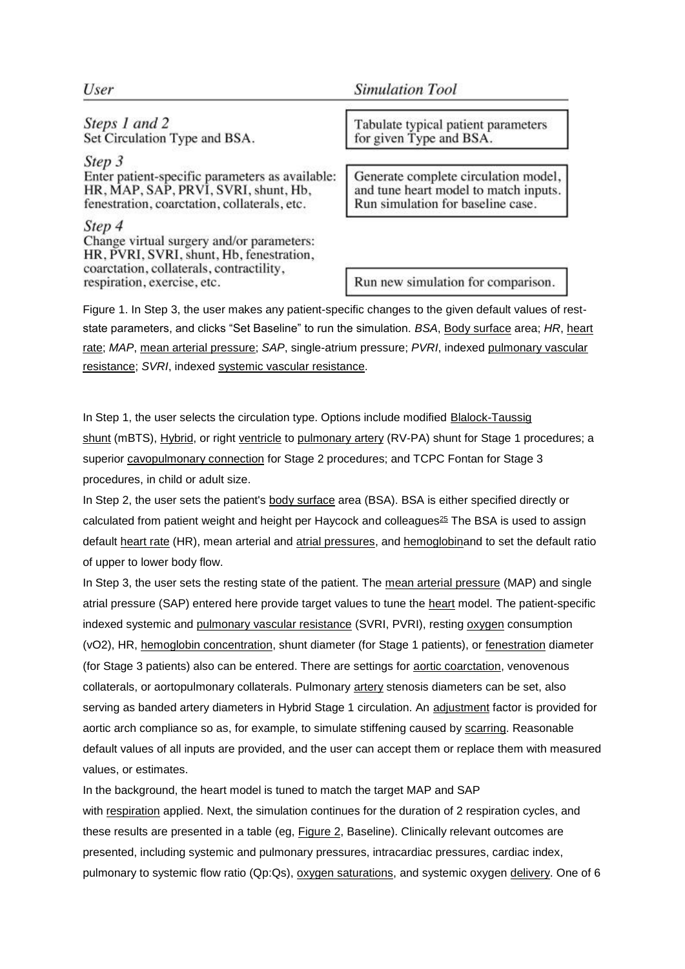## User

Steps 1 and 2 Set Circulation Type and BSA.

Step 3 Enter patient-specific parameters as available: HR, MAP, SAP, PRVI, SVRI, shunt, Hb, fenestration, coarctation, collaterals, etc.

Step 4

Change virtual surgery and/or parameters: HR, PVRI, SVRI, shunt, Hb, fenestration, coarctation, collaterals, contractility, respiration, exercise, etc.

**Simulation Tool** 

Tabulate typical patient parameters for given Type and BSA.

Generate complete circulation model, and tune heart model to match inputs. Run simulation for baseline case.

Run new simulation for comparison.

Figure 1. In Step 3, the user makes any patient-specific changes to the given default values of reststate parameters, and clicks "Set Baseline" to run the simulation. *BSA*, [Body surface](https://www.sciencedirect.com/topics/medicine-and-dentistry/body-surface) area; *HR*, [heart](https://www.sciencedirect.com/topics/medicine-and-dentistry/heart-rate)  [rate;](https://www.sciencedirect.com/topics/medicine-and-dentistry/heart-rate) *MAP*, [mean arterial pressure;](https://www.sciencedirect.com/topics/medicine-and-dentistry/mean-arterial-pressure) *SAP*, single-atrium pressure; *PVRI*, indexed [pulmonary vascular](https://www.sciencedirect.com/topics/medicine-and-dentistry/lung-vascular-resistance)  [resistance;](https://www.sciencedirect.com/topics/medicine-and-dentistry/lung-vascular-resistance) *SVRI*, indexed [systemic vascular resistance.](https://www.sciencedirect.com/topics/medicine-and-dentistry/systemic-vascular-resistance)

In Step 1, the user selects the circulation type. Options include modified [Blalock-Taussig](https://www.sciencedirect.com/topics/medicine-and-dentistry/blalock-taussig-shunt)  [shunt](https://www.sciencedirect.com/topics/medicine-and-dentistry/blalock-taussig-shunt) (mBTS), [Hybrid,](https://www.sciencedirect.com/topics/medicine-and-dentistry/hybrid) or right [ventricle](https://www.sciencedirect.com/topics/medicine-and-dentistry/ventricle-of-heart) to [pulmonary artery](https://www.sciencedirect.com/topics/medicine-and-dentistry/pulmonary-artery) (RV-PA) shunt for Stage 1 procedures; a superior [cavopulmonary connection](https://www.sciencedirect.com/topics/medicine-and-dentistry/cavopulmonary-connection) for Stage 2 procedures; and TCPC Fontan for Stage 3 procedures, in child or adult size.

In Step 2, the user sets the patient's [body surface](https://www.sciencedirect.com/topics/medicine-and-dentistry/body-surface) area (BSA). BSA is either specified directly or calculated from patient weight and height per Haycock and colleagues $^{25}$  $^{25}$  $^{25}$  The BSA is used to assign default [heart rate](https://www.sciencedirect.com/topics/medicine-and-dentistry/heart-rate) (HR), mean arterial and [atrial pressures,](https://www.sciencedirect.com/topics/medicine-and-dentistry/heart-atrium-pressure) and [hemoglobina](https://www.sciencedirect.com/topics/medicine-and-dentistry/hemoglobin)nd to set the default ratio of upper to lower body flow.

In Step 3, the user sets the resting state of the patient. The [mean arterial pressure](https://www.sciencedirect.com/topics/medicine-and-dentistry/mean-arterial-pressure) (MAP) and single atrial pressure (SAP) entered here provide target values to tune the [heart](https://www.sciencedirect.com/topics/medicine-and-dentistry/heart) model. The patient-specific indexed systemic and [pulmonary vascular resistance](https://www.sciencedirect.com/topics/medicine-and-dentistry/lung-vascular-resistance) (SVRI, PVRI), resting [oxygen](https://www.sciencedirect.com/topics/medicine-and-dentistry/oxygen) consumption (vO2), HR, [hemoglobin concentration,](https://www.sciencedirect.com/topics/medicine-and-dentistry/hemoglobin-determination) shunt diameter (for Stage 1 patients), or [fenestration](https://www.sciencedirect.com/topics/medicine-and-dentistry/fenestration) diameter (for Stage 3 patients) also can be entered. There are settings for [aortic coarctation,](https://www.sciencedirect.com/topics/medicine-and-dentistry/coarctation-of-the-aorta) venovenous collaterals, or aortopulmonary collaterals. Pulmonary [artery](https://www.sciencedirect.com/topics/medicine-and-dentistry/artery) stenosis diameters can be set, also serving as banded artery diameters in Hybrid Stage 1 circulation. An [adjustment](https://www.sciencedirect.com/topics/medicine-and-dentistry/adjustment) factor is provided for aortic arch compliance so as, for example, to simulate stiffening caused by [scarring.](https://www.sciencedirect.com/topics/medicine-and-dentistry/scar-formation) Reasonable default values of all inputs are provided, and the user can accept them or replace them with measured values, or estimates.

In the background, the heart model is tuned to match the target MAP and SAP with [respiration](https://www.sciencedirect.com/topics/medicine-and-dentistry/breathing) applied. Next, the simulation continues for the duration of 2 respiration cycles, and these results are presented in a table (eg, [Figure](https://www.sciencedirect.com/science/article/pii/S0022522317319633?via%3Dihub#fig2) 2, Baseline). Clinically relevant outcomes are presented, including systemic and pulmonary pressures, intracardiac pressures, cardiac index, pulmonary to systemic flow ratio (Qp:Qs), [oxygen saturations,](https://www.sciencedirect.com/topics/medicine-and-dentistry/oxygen-saturation) and systemic oxygen [delivery.](https://www.sciencedirect.com/topics/medicine-and-dentistry/obstetric-delivery) One of 6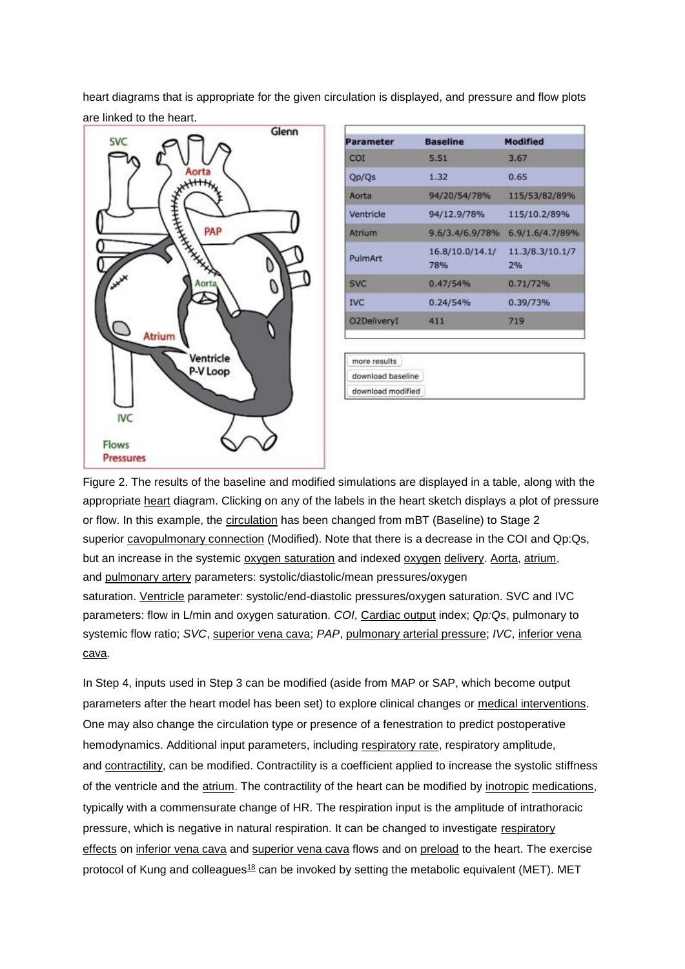heart diagrams that is appropriate for the given circulation is displayed, and pressure and flow plots are linked to the heart.



[cava.](https://www.sciencedirect.com/topics/medicine-and-dentistry/inferior-vena-cava)

| Parameter          | <b>Baseline</b>        | <b>Modified</b>       |
|--------------------|------------------------|-----------------------|
| COI                | 5.51                   | 3.67                  |
| Qp/Qs              | 1.32                   | 0.65                  |
| Aorta              | 94/20/54/78%           | 115/53/82/89%         |
| Ventricle          | 94/12.9/78%            | 115/10.2/89%          |
| Atrium             | 9.6/3.4/6.9/78%        | 6.9/1.6/4.7/89%       |
| <b>PulmArt</b>     | 16.8/10.0/14.1/<br>78% | 11.3/8.3/10.1/7<br>2% |
| <b>SVC</b>         | 0.47/54%               | 0.71/72%              |
| <b>IVC</b>         | 0.24/54%               | 0.39/73%              |
| <b>O2DeliveryI</b> | 411                    | 719                   |

Figure 2. The results of the baseline and modified simulations are displayed in a table, along with the appropriate [heart](https://www.sciencedirect.com/topics/medicine-and-dentistry/heart) diagram. Clicking on any of the labels in the heart sketch displays a plot of pressure or flow. In this example, the [circulation](https://www.sciencedirect.com/topics/medicine-and-dentistry/circulation) has been changed from mBT (Baseline) to Stage 2 superior [cavopulmonary connection](https://www.sciencedirect.com/topics/medicine-and-dentistry/cavopulmonary-connection) (Modified). Note that there is a decrease in the COI and Qp:Qs, but an increase in the systemic [oxygen saturation](https://www.sciencedirect.com/topics/medicine-and-dentistry/oxygen-saturation) and indexed [oxygen](https://www.sciencedirect.com/topics/medicine-and-dentistry/oxygen) [delivery.](https://www.sciencedirect.com/topics/medicine-and-dentistry/obstetric-delivery) [Aorta,](https://www.sciencedirect.com/topics/medicine-and-dentistry/aorta) [atrium,](https://www.sciencedirect.com/topics/medicine-and-dentistry/atrium-heart) and [pulmonary artery](https://www.sciencedirect.com/topics/medicine-and-dentistry/pulmonary-artery) parameters: systolic/diastolic/mean pressures/oxygen saturation. [Ventricle](https://www.sciencedirect.com/topics/medicine-and-dentistry/ventricle-of-heart) parameter: systolic/end-diastolic pressures/oxygen saturation. SVC and IVC parameters: flow in L/min and oxygen saturation. *COI*, [Cardiac output](https://www.sciencedirect.com/topics/medicine-and-dentistry/heart-output) index; *Qp:Qs*, pulmonary to systemic flow ratio; *SVC*, [superior vena cava;](https://www.sciencedirect.com/topics/medicine-and-dentistry/superior-vena-cava) *PAP*, [pulmonary arterial pressure;](https://www.sciencedirect.com/topics/medicine-and-dentistry/lung-artery-pressure) *IVC*, [inferior vena](https://www.sciencedirect.com/topics/medicine-and-dentistry/inferior-vena-cava) 

download baseline download modified

In Step 4, inputs used in Step 3 can be modified (aside from MAP or SAP, which become output parameters after the heart model has been set) to explore clinical changes or [medical interventions.](https://www.sciencedirect.com/topics/medicine-and-dentistry/medical-intervention) One may also change the circulation type or presence of a fenestration to predict postoperative hemodynamics. Additional input parameters, including [respiratory rate,](https://www.sciencedirect.com/topics/medicine-and-dentistry/breathing-rate) respiratory amplitude, and [contractility,](https://www.sciencedirect.com/topics/medicine-and-dentistry/muscle-contractility) can be modified. Contractility is a coefficient applied to increase the systolic stiffness of the ventricle and the [atrium.](https://www.sciencedirect.com/topics/medicine-and-dentistry/atrium-heart) The contractility of the heart can be modified by [inotropic](https://www.sciencedirect.com/topics/medicine-and-dentistry/inotropism) [medications,](https://www.sciencedirect.com/topics/medicine-and-dentistry/drug-therapy) typically with a commensurate change of HR. The respiration input is the amplitude of intrathoracic pressure, which is negative in natural respiration. It can be changed to investigate [respiratory](https://www.sciencedirect.com/topics/medicine-and-dentistry/respiratory-physiology)  [effects](https://www.sciencedirect.com/topics/medicine-and-dentistry/respiratory-physiology) on [inferior vena cava](https://www.sciencedirect.com/topics/medicine-and-dentistry/inferior-vena-cava) and [superior vena cava](https://www.sciencedirect.com/topics/medicine-and-dentistry/superior-vena-cava) flows and on [preload](https://www.sciencedirect.com/topics/medicine-and-dentistry/heart-preload) to the heart. The exercise protocol of Kung and colleagues<sup>[18](https://www.sciencedirect.com/science/article/pii/S0022522317319633?via%3Dihub#bib18)</sup> can be invoked by setting the metabolic equivalent (MET). MET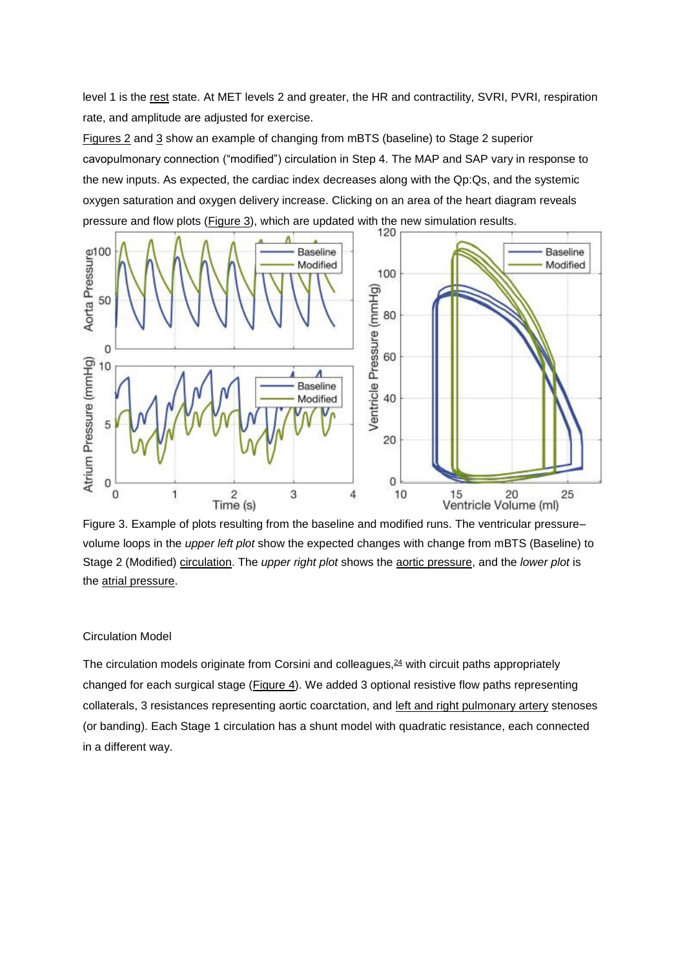level 1 is the [rest](https://www.sciencedirect.com/topics/medicine-and-dentistry/rest) state. At MET levels 2 and greater, the HR and contractility, SVRI, PVRI, respiration rate, and amplitude are adjusted for exercise.

[Figures 2](https://www.sciencedirect.com/science/article/pii/S0022522317319633?via%3Dihub#fig2) and [3](https://www.sciencedirect.com/science/article/pii/S0022522317319633?via%3Dihub#fig3) show an example of changing from mBTS (baseline) to Stage 2 superior cavopulmonary connection ("modified") circulation in Step 4. The MAP and SAP vary in response to the new inputs. As expected, the cardiac index decreases along with the Qp:Qs, and the systemic oxygen saturation and oxygen delivery increase. Clicking on an area of the heart diagram reveals pressure and flow plots [\(Figure](https://www.sciencedirect.com/science/article/pii/S0022522317319633?via%3Dihub#fig3) 3), which are updated with the new simulation results.



Figure 3. Example of plots resulting from the baseline and modified runs. The ventricular pressure– volume loops in the *upper left plot* show the expected changes with change from mBTS (Baseline) to Stage 2 (Modified) [circulation.](https://www.sciencedirect.com/topics/medicine-and-dentistry/circulation) The *upper right plot* shows the [aortic pressure,](https://www.sciencedirect.com/topics/medicine-and-dentistry/aortic-pressure) and the *lower plot* is the [atrial pressure.](https://www.sciencedirect.com/topics/medicine-and-dentistry/heart-atrium-pressure)

#### Circulation Model

The circulation models originate from Corsini and colleagues, $24$  with circuit paths appropriately changed for each surgical stage [\(Figure](https://www.sciencedirect.com/science/article/pii/S0022522317319633?via%3Dihub#fig4) 4). We added 3 optional resistive flow paths representing collaterals, 3 resistances representing aortic coarctation, and [left and right pulmonary artery](https://www.sciencedirect.com/topics/medicine-and-dentistry/left-pulmonary-artery) stenoses (or banding). Each Stage 1 circulation has a shunt model with quadratic resistance, each connected in a different way.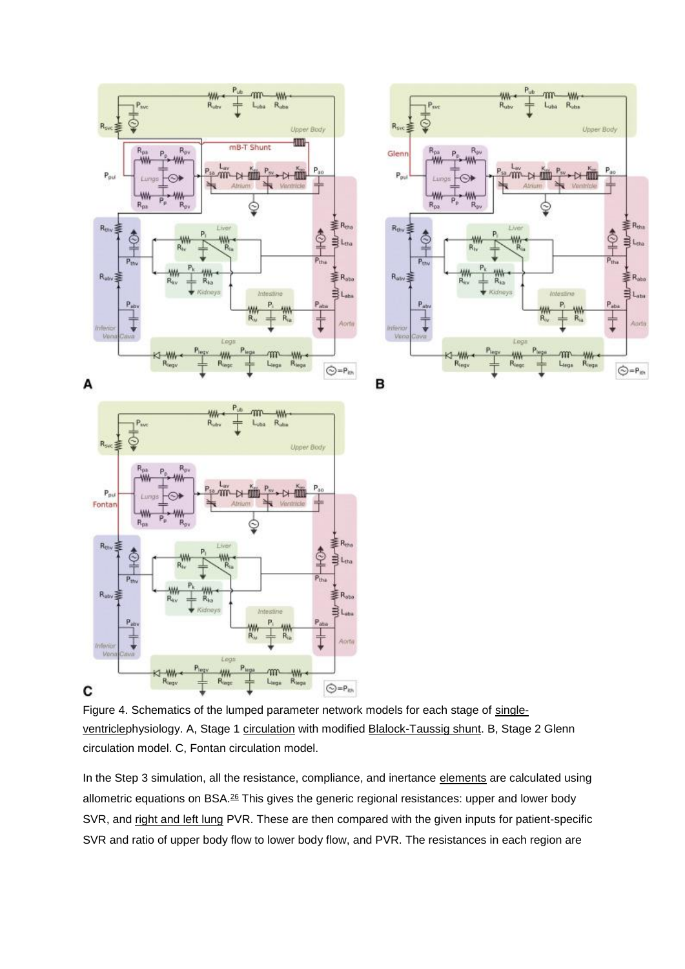

Figure 4. Schematics of the lumped parameter network models for each stage of [single](https://www.sciencedirect.com/topics/medicine-and-dentistry/heart-single-ventricle)[ventriclep](https://www.sciencedirect.com/topics/medicine-and-dentistry/heart-single-ventricle)hysiology. A, Stage 1 [circulation](https://www.sciencedirect.com/topics/medicine-and-dentistry/circulation) with modified [Blalock-Taussig shunt.](https://www.sciencedirect.com/topics/medicine-and-dentistry/blalock-taussig-shunt) B, Stage 2 Glenn circulation model. C, Fontan circulation model.

In the Step 3 simulation, all the resistance, compliance, and inertance [elements](https://www.sciencedirect.com/topics/medicine-and-dentistry/element) are calculated using allometric equations on BSA.<sup>[26](https://www.sciencedirect.com/science/article/pii/S0022522317319633?via%3Dihub#bib26)</sup> This gives the generic regional resistances: upper and lower body SVR, and [right and left lung](https://www.sciencedirect.com/topics/medicine-and-dentistry/right-lung) PVR. These are then compared with the given inputs for patient-specific SVR and ratio of upper body flow to lower body flow, and PVR. The resistances in each region are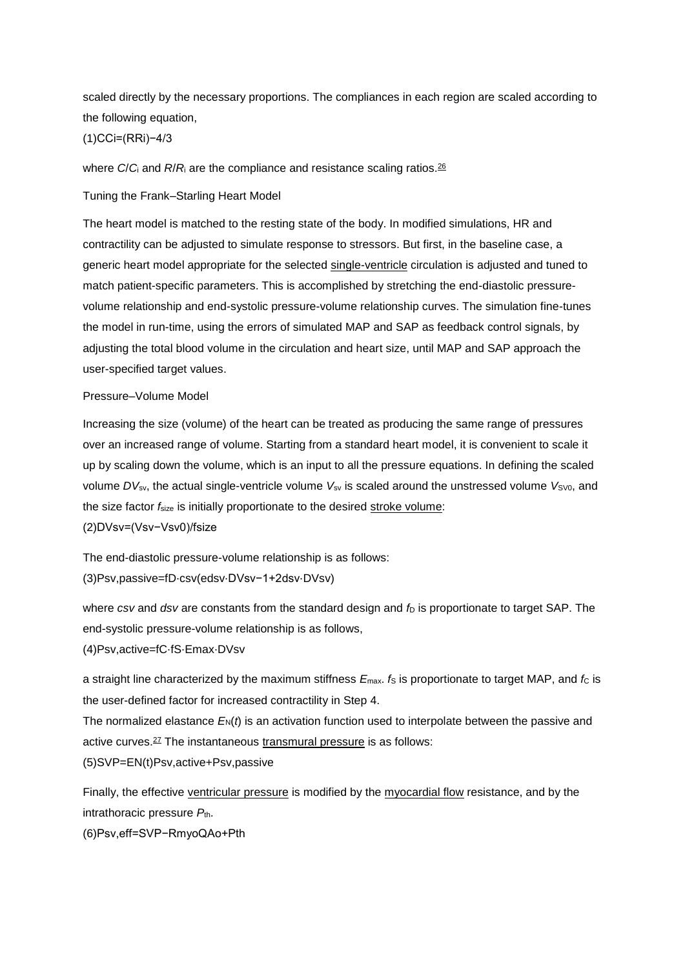scaled directly by the necessary proportions. The compliances in each region are scaled according to the following equation,

(1)CCi=(RRi)−4/3

where *C*/*C*<sub>i</sub> and *R*/*R*<sub>i</sub> are the compliance and resistance scaling ratios.<sup>[26](https://www.sciencedirect.com/science/article/pii/S0022522317319633?via%3Dihub#bib26)</sup>

Tuning the Frank–Starling Heart Model

The heart model is matched to the resting state of the body. In modified simulations, HR and contractility can be adjusted to simulate response to stressors. But first, in the baseline case, a generic heart model appropriate for the selected [single-ventricle](https://www.sciencedirect.com/topics/medicine-and-dentistry/heart-single-ventricle) circulation is adjusted and tuned to match patient-specific parameters. This is accomplished by stretching the end-diastolic pressurevolume relationship and end-systolic pressure-volume relationship curves. The simulation fine-tunes the model in run-time, using the errors of simulated MAP and SAP as feedback control signals, by adjusting the total blood volume in the circulation and heart size, until MAP and SAP approach the user-specified target values.

### Pressure–Volume Model

Increasing the size (volume) of the heart can be treated as producing the same range of pressures over an increased range of volume. Starting from a standard heart model, it is convenient to scale it up by scaling down the volume, which is an input to all the pressure equations. In defining the scaled volume DV<sub>sv</sub>, the actual single-ventricle volume V<sub>sv</sub> is scaled around the unstressed volume V<sub>SV0</sub>, and the size factor *f*size is initially proportionate to the desired [stroke volume:](https://www.sciencedirect.com/topics/medicine-and-dentistry/stroke-volume) (2)DVsv=(Vsv−Vsv0)/fsize

The end-diastolic pressure-volume relationship is as follows: (3)Psv,passive=fD⋅csv(edsv⋅DVsv−1+2dsv⋅DVsv)

where *csv* and *dsv* are constants from the standard design and  $f<sub>D</sub>$  is proportionate to target SAP. The end-systolic pressure-volume relationship is as follows,

(4)Psv,active=fC⋅fS⋅Emax⋅DVsv

a straight line characterized by the maximum stiffness  $E_{\text{max}}$ . *f*s is proportionate to target MAP, and *fc* is the user-defined factor for increased contractility in Step 4.

The normalized elastance  $E_N(t)$  is an activation function used to interpolate between the passive and active curves.[27](https://www.sciencedirect.com/science/article/pii/S0022522317319633?via%3Dihub#bib27) The instantaneous [transmural pressure](https://www.sciencedirect.com/topics/medicine-and-dentistry/transmural-pressure) is as follows:

(5)SVP=EN(t)Psv,active+Psv,passive

Finally, the effective [ventricular pressure](https://www.sciencedirect.com/topics/medicine-and-dentistry/heart-ventricle-pressure) is modified by the [myocardial flow](https://www.sciencedirect.com/topics/medicine-and-dentistry/coronary-circulation) resistance, and by the intrathoracic pressure  $P_{\text{th}}$ .

(6)Psv,eff=SVP−RmyoQAo+Pth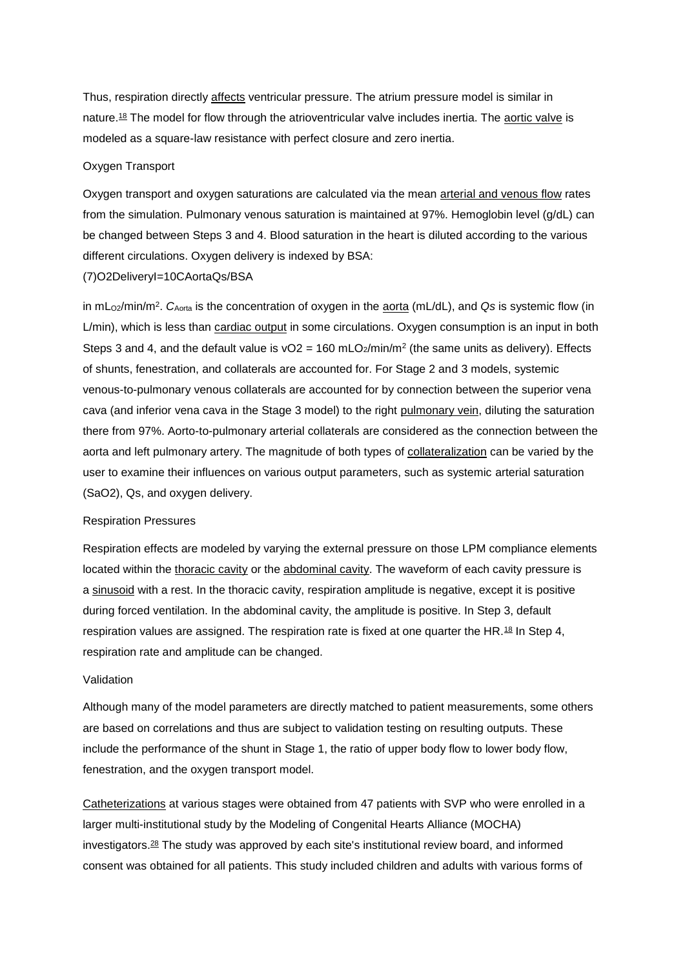Thus, respiration directly [affects](https://www.sciencedirect.com/topics/medicine-and-dentistry/affect) ventricular pressure. The atrium pressure model is similar in nature.<sup>[18](https://www.sciencedirect.com/science/article/pii/S0022522317319633?via%3Dihub#bib18)</sup> The model for flow through the atrioventricular valve includes inertia. The [aortic valve](https://www.sciencedirect.com/topics/medicine-and-dentistry/aortic-valve) is modeled as a square-law resistance with perfect closure and zero inertia.

### Oxygen Transport

Oxygen transport and oxygen saturations are calculated via the mean [arterial and venous flow](https://www.sciencedirect.com/topics/medicine-and-dentistry/artery-blood-flow) rates from the simulation. Pulmonary venous saturation is maintained at 97%. Hemoglobin level (g/dL) can be changed between Steps 3 and 4. Blood saturation in the heart is diluted according to the various different circulations. Oxygen delivery is indexed by BSA:

### (7)O2DeliveryI=10CAortaQs/BSA

in mL<sub>O2</sub>/min/m<sup>2</sup>. C<sub>Aorta</sub> is the concentration of oxygen in the [aorta](https://www.sciencedirect.com/topics/medicine-and-dentistry/aorta) (mL/dL), and Qs is systemic flow (in L/min), which is less than [cardiac output](https://www.sciencedirect.com/topics/medicine-and-dentistry/heart-output) in some circulations. Oxygen consumption is an input in both Steps 3 and 4, and the default value is  $vO2 = 160$  mLO<sub>2</sub>/min/m<sup>2</sup> (the same units as delivery). Effects of shunts, fenestration, and collaterals are accounted for. For Stage 2 and 3 models, systemic venous-to-pulmonary venous collaterals are accounted for by connection between the superior vena cava (and inferior vena cava in the Stage 3 model) to the right [pulmonary vein,](https://www.sciencedirect.com/topics/medicine-and-dentistry/pulmonary-vein) diluting the saturation there from 97%. Aorto-to-pulmonary arterial collaterals are considered as the connection between the aorta and left pulmonary artery. The magnitude of both types of [collateralization](https://www.sciencedirect.com/topics/medicine-and-dentistry/collateralization) can be varied by the user to examine their influences on various output parameters, such as systemic arterial saturation (SaO2), Qs, and oxygen delivery.

#### Respiration Pressures

Respiration effects are modeled by varying the external pressure on those LPM compliance elements located within the [thoracic cavity](https://www.sciencedirect.com/topics/medicine-and-dentistry/thoracic-cavity) or the [abdominal cavity.](https://www.sciencedirect.com/topics/medicine-and-dentistry/abdominal-cavity) The waveform of each cavity pressure is a [sinusoid](https://www.sciencedirect.com/topics/medicine-and-dentistry/sinusoid) with a rest. In the thoracic cavity, respiration amplitude is negative, except it is positive during forced ventilation. In the abdominal cavity, the amplitude is positive. In Step 3, default respiration values are assigned. The respiration rate is fixed at one quarter the HR.<sup>[18](https://www.sciencedirect.com/science/article/pii/S0022522317319633?via%3Dihub#bib18)</sup> In Step 4, respiration rate and amplitude can be changed.

### Validation

Although many of the model parameters are directly matched to patient measurements, some others are based on correlations and thus are subject to validation testing on resulting outputs. These include the performance of the shunt in Stage 1, the ratio of upper body flow to lower body flow, fenestration, and the oxygen transport model.

[Catheterizations](https://www.sciencedirect.com/topics/medicine-and-dentistry/catheterization) at various stages were obtained from 47 patients with SVP who were enrolled in a larger multi-institutional study by the Modeling of Congenital Hearts Alliance (MOCHA) investigators.[28](https://www.sciencedirect.com/science/article/pii/S0022522317319633?via%3Dihub#bib28) The study was approved by each site's institutional review board, and informed consent was obtained for all patients. This study included children and adults with various forms of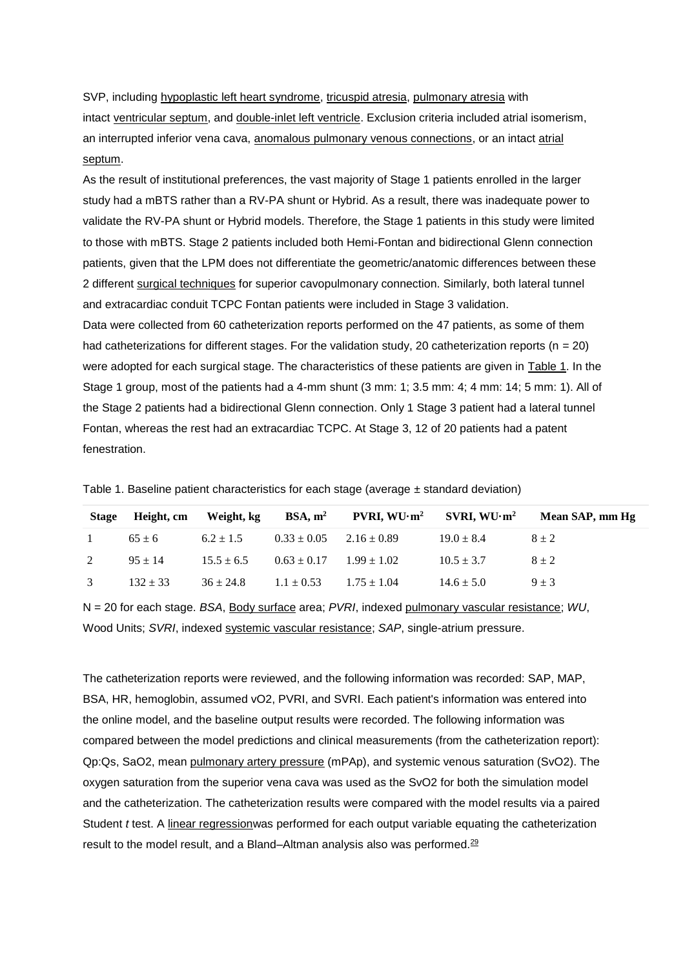SVP, including [hypoplastic left heart syndrome,](https://www.sciencedirect.com/topics/medicine-and-dentistry/hypoplastic-left-heart-syndrome) [tricuspid atresia,](https://www.sciencedirect.com/topics/medicine-and-dentistry/tricuspid-atresia) [pulmonary atresia](https://www.sciencedirect.com/topics/medicine-and-dentistry/pulmonary-atresia) with intact [ventricular septum,](https://www.sciencedirect.com/topics/medicine-and-dentistry/interventricular-septum) and [double-inlet left ventricle.](https://www.sciencedirect.com/topics/medicine-and-dentistry/double-inlet-left-ventricle) Exclusion criteria included atrial isomerism, an interrupted inferior vena cava, [anomalous pulmonary venous connections,](https://www.sciencedirect.com/topics/medicine-and-dentistry/anomalous-pulmonary-venous-connection) or an intact atrial [septum.](https://www.sciencedirect.com/topics/medicine-and-dentistry/interatrial-septum)

As the result of institutional preferences, the vast majority of Stage 1 patients enrolled in the larger study had a mBTS rather than a RV-PA shunt or Hybrid. As a result, there was inadequate power to validate the RV-PA shunt or Hybrid models. Therefore, the Stage 1 patients in this study were limited to those with mBTS. Stage 2 patients included both Hemi-Fontan and bidirectional Glenn connection patients, given that the LPM does not differentiate the geometric/anatomic differences between these 2 different [surgical techniques](https://www.sciencedirect.com/topics/medicine-and-dentistry/surgical-technique) for superior cavopulmonary connection. Similarly, both lateral tunnel and extracardiac conduit TCPC Fontan patients were included in Stage 3 validation. Data were collected from 60 catheterization reports performed on the 47 patients, as some of them

had catheterizations for different stages. For the validation study, 20 catheterization reports ( $n = 20$ ) were adopted for each surgical stage. The characteristics of these patients are given in [Table 1.](https://www.sciencedirect.com/science/article/pii/S0022522317319633?via%3Dihub#tbl1) In the Stage 1 group, most of the patients had a 4-mm shunt (3 mm: 1; 3.5 mm: 4; 4 mm: 14; 5 mm: 1). All of the Stage 2 patients had a bidirectional Glenn connection. Only 1 Stage 3 patient had a lateral tunnel Fontan, whereas the rest had an extracardiac TCPC. At Stage 3, 12 of 20 patients had a patent fenestration.

| <b>Stage</b>   | Height, cm   |                                              |                                 |                | Weight, kg BSA, $m^2$ PVRI, WU·m <sup>2</sup> SVRI, WU·m <sup>2</sup> Mean SAP, mm Hg |
|----------------|--------------|----------------------------------------------|---------------------------------|----------------|---------------------------------------------------------------------------------------|
| $\overline{1}$ | $65 \pm 6$   | $6.2 \pm 1.5$                                | $0.33 \pm 0.05$ $2.16 \pm 0.89$ | $19.0 \pm 8.4$ | $8 + 2$                                                                               |
| 2              | $95 \pm 14$  | $15.5 \pm 6.5$                               | $0.63 \pm 0.17$ $1.99 \pm 1.02$ | $10.5 \pm 3.7$ | $8 + 2$                                                                               |
| $\mathcal{E}$  | $132 \pm 33$ | $36 \pm 24.8$ $1.1 \pm 0.53$ $1.75 \pm 1.04$ |                                 | $14.6 \pm 5.0$ | $9 + 3$                                                                               |

Table 1. Baseline patient characteristics for each stage (average  $\pm$  standard deviation)

N = 20 for each stage. *BSA*, [Body surface](https://www.sciencedirect.com/topics/medicine-and-dentistry/body-surface) area; *PVRI*, indexed [pulmonary vascular resistance;](https://www.sciencedirect.com/topics/medicine-and-dentistry/lung-vascular-resistance) *WU*, Wood Units; *SVRI*, indexed [systemic vascular resistance;](https://www.sciencedirect.com/topics/medicine-and-dentistry/systemic-vascular-resistance) *SAP*, single-atrium pressure.

The catheterization reports were reviewed, and the following information was recorded: SAP, MAP, BSA, HR, hemoglobin, assumed vO2, PVRI, and SVRI. Each patient's information was entered into the online model, and the baseline output results were recorded. The following information was compared between the model predictions and clinical measurements (from the catheterization report): Qp:Qs, SaO2, mean [pulmonary artery pressure](https://www.sciencedirect.com/topics/medicine-and-dentistry/lung-artery-pressure) (mPAp), and systemic venous saturation (SvO2). The oxygen saturation from the superior vena cava was used as the SvO2 for both the simulation model and the catheterization. The catheterization results were compared with the model results via a paired Student *t* test. A [linear regressionw](https://www.sciencedirect.com/topics/medicine-and-dentistry/linear-regression-analysis)as performed for each output variable equating the catheterization result to the model result, and a Bland–Altman analysis also was performed.<sup>[29](https://www.sciencedirect.com/science/article/pii/S0022522317319633?via%3Dihub#bib29)</sup>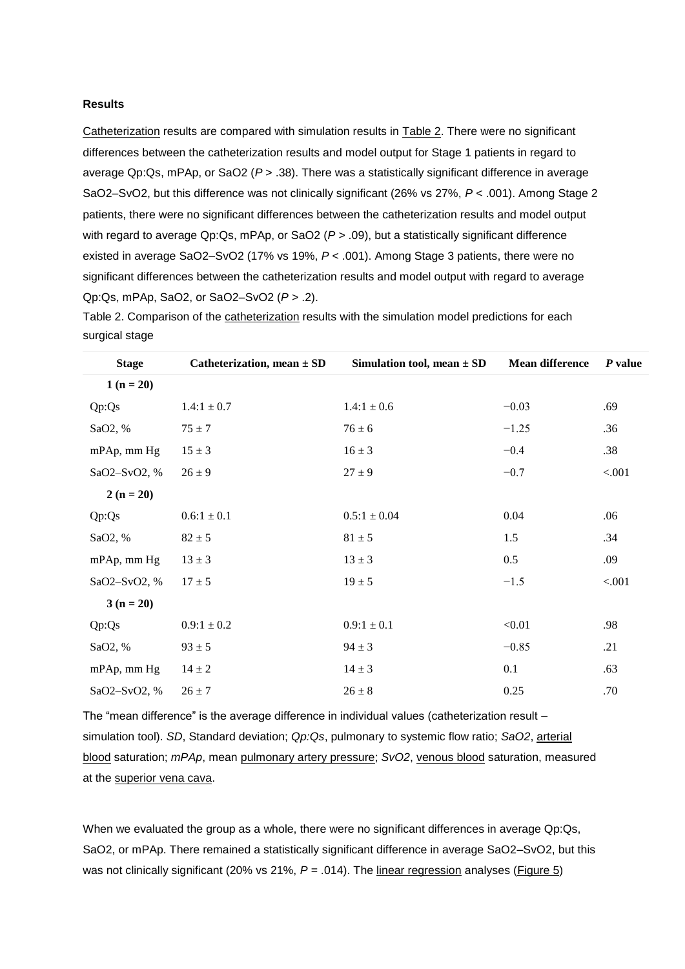#### **Results**

[Catheterization](https://www.sciencedirect.com/topics/medicine-and-dentistry/catheterization) results are compared with simulation results in [Table 2.](https://www.sciencedirect.com/science/article/pii/S0022522317319633?via%3Dihub#tbl2) There were no significant differences between the catheterization results and model output for Stage 1 patients in regard to average Qp:Qs, mPAp, or SaO2 (*P* > .38). There was a statistically significant difference in average SaO2–SvO2, but this difference was not clinically significant (26% vs 27%, *P* < .001). Among Stage 2 patients, there were no significant differences between the catheterization results and model output with regard to average Qp:Qs, mPAp, or SaO2 ( $P > .09$ ), but a statistically significant difference existed in average SaO2–SvO2 (17% vs 19%, *P* < .001). Among Stage 3 patients, there were no significant differences between the catheterization results and model output with regard to average Qp:Qs, mPAp, SaO2, or SaO2–SvO2 (*P* > .2).

| Table 2. Comparison of the catheterization results with the simulation model predictions for each |  |  |  |
|---------------------------------------------------------------------------------------------------|--|--|--|
| surgical stage                                                                                    |  |  |  |

| <b>Stage</b> | Catheterization, mean $\pm$ SD | Simulation tool, mean $\pm$ SD | <b>Mean difference</b> | P value |
|--------------|--------------------------------|--------------------------------|------------------------|---------|
| $1(n=20)$    |                                |                                |                        |         |
| Qp:Qs        | $1.4:1 \pm 0.7$                | $1.4:1 \pm 0.6$                | $-0.03$                | .69     |
| SaO2, %      | $75 \pm 7$                     | $76 \pm 6$                     | $-1.25$                | .36     |
| mPAp, mm Hg  | $15 \pm 3$                     | $16 \pm 3$                     | $-0.4$                 | .38     |
| SaO2-SvO2, % | $26 \pm 9$                     | $27 \pm 9$                     | $-0.7$                 | < .001  |
| $2(n = 20)$  |                                |                                |                        |         |
| Qp:Qs        | $0.6:1 \pm 0.1$                | $0.5:1 \pm 0.04$               | 0.04                   | .06     |
| SaO2, %      | $82 \pm 5$                     | $81 \pm 5$                     | 1.5                    | .34     |
| mPAp, mm Hg  | $13 \pm 3$                     | $13 \pm 3$                     | 0.5                    | .09     |
| SaO2-SvO2, % | $17 \pm 5$                     | $19 \pm 5$                     | $-1.5$                 | < .001  |
| $3(n=20)$    |                                |                                |                        |         |
| Qp:Qs        | $0.9:1 \pm 0.2$                | $0.9:1 \pm 0.1$                | < 0.01                 | .98     |
| SaO2, %      | $93 \pm 5$                     | $94 \pm 3$                     | $-0.85$                | .21     |
| mPAp, mm Hg  | $14 \pm 2$                     | $14 \pm 3$                     | 0.1                    | .63     |
| SaO2-SvO2, % | $26 \pm 7$                     | $26 \pm 8$                     | 0.25                   | .70     |

The "mean difference" is the average difference in individual values (catheterization result – simulation tool). *SD*, Standard deviation; *Qp:Qs*, pulmonary to systemic flow ratio; *SaO2*, [arterial](https://www.sciencedirect.com/topics/medicine-and-dentistry/arterial-blood)  [blood](https://www.sciencedirect.com/topics/medicine-and-dentistry/arterial-blood) saturation; *mPAp*, mean [pulmonary artery pressure;](https://www.sciencedirect.com/topics/medicine-and-dentistry/lung-artery-pressure) *SvO2*, [venous blood](https://www.sciencedirect.com/topics/medicine-and-dentistry/venous-blood) saturation, measured at the [superior vena cava.](https://www.sciencedirect.com/topics/medicine-and-dentistry/superior-vena-cava)

When we evaluated the group as a whole, there were no significant differences in average Qp:Qs, SaO2, or mPAp. There remained a statistically significant difference in average SaO2–SvO2, but this was not clinically significant (20% vs 21%,  $P = .014$ ). The [linear regression](https://www.sciencedirect.com/topics/medicine-and-dentistry/linear-regression-analysis) analyses [\(Figure](https://www.sciencedirect.com/science/article/pii/S0022522317319633?via%3Dihub#fig5) 5)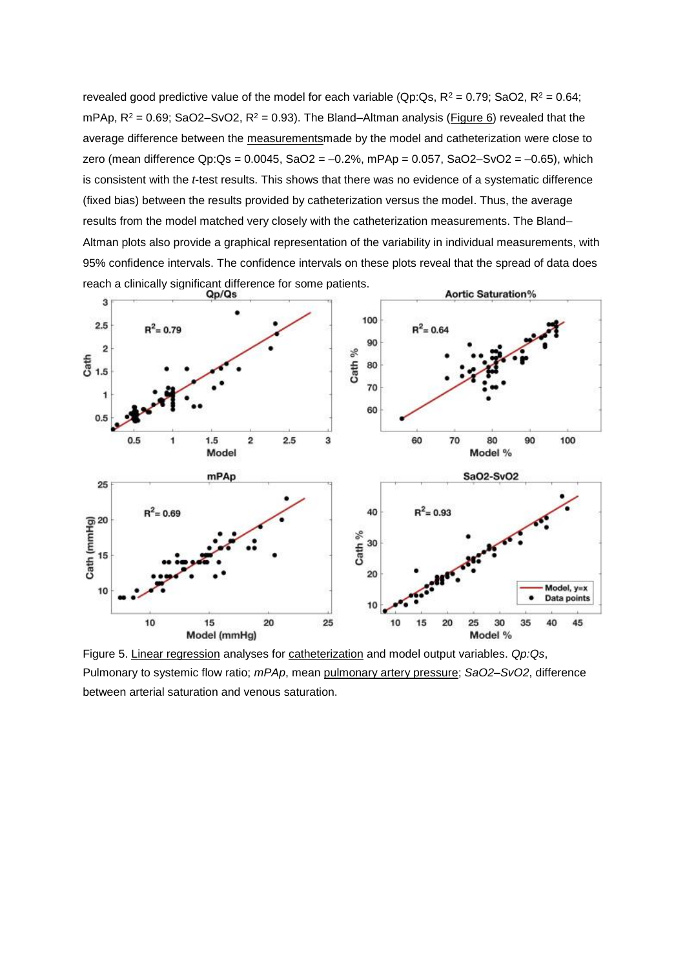revealed good predictive value of the model for each variable (Qp:Qs,  $R^2 = 0.79$ ; SaO2,  $R^2 = 0.64$ ; mPAp,  $R^2 = 0.69$ ; SaO2-SvO2,  $R^2 = 0.93$ ). The Bland-Altman analysis (*Figure 6*) revealed that the average difference between the [measurementsm](https://www.sciencedirect.com/topics/medicine-and-dentistry/measurement)ade by the model and catheterization were close to zero (mean difference Qp:Qs =  $0.0045$ , SaO2 =  $-0.2\%$ , mPAp =  $0.057$ , SaO2 $-$ SvO2 =  $-0.65$ ), which is consistent with the *t*-test results. This shows that there was no evidence of a systematic difference (fixed bias) between the results provided by catheterization versus the model. Thus, the average results from the model matched very closely with the catheterization measurements. The Bland– Altman plots also provide a graphical representation of the variability in individual measurements, with 95% confidence intervals. The confidence intervals on these plots reveal that the spread of data does reach a clinically significant difference for some patients.



Figure 5. [Linear regression](https://www.sciencedirect.com/topics/medicine-and-dentistry/linear-regression-analysis) analyses for [catheterization](https://www.sciencedirect.com/topics/medicine-and-dentistry/catheterization) and model output variables. *Qp:Qs*, Pulmonary to systemic flow ratio; *mPAp*, mean [pulmonary artery pressure;](https://www.sciencedirect.com/topics/medicine-and-dentistry/lung-artery-pressure) *SaO2–SvO2*, difference between arterial saturation and venous saturation.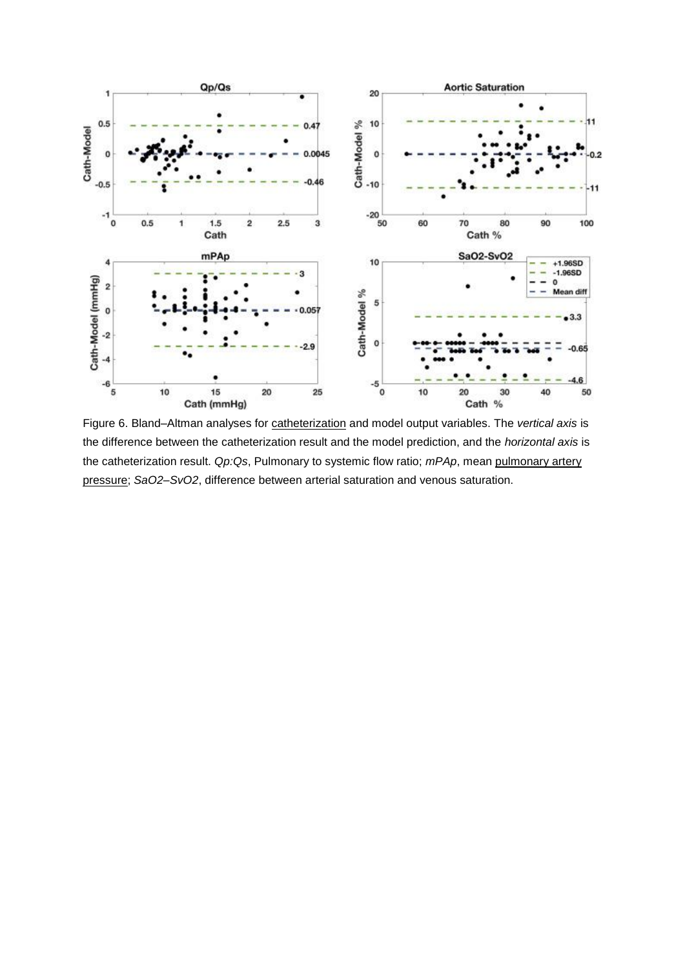

Figure 6. Bland–Altman analyses for [catheterization](https://www.sciencedirect.com/topics/medicine-and-dentistry/catheterization) and model output variables. The *vertical axis* is the difference between the catheterization result and the model prediction, and the *horizontal axis* is the catheterization result. *Qp:Qs*, Pulmonary to systemic flow ratio; *mPAp*, mean [pulmonary artery](https://www.sciencedirect.com/topics/medicine-and-dentistry/lung-artery-pressure)  [pressure;](https://www.sciencedirect.com/topics/medicine-and-dentistry/lung-artery-pressure) *SaO2–SvO2*, difference between arterial saturation and venous saturation.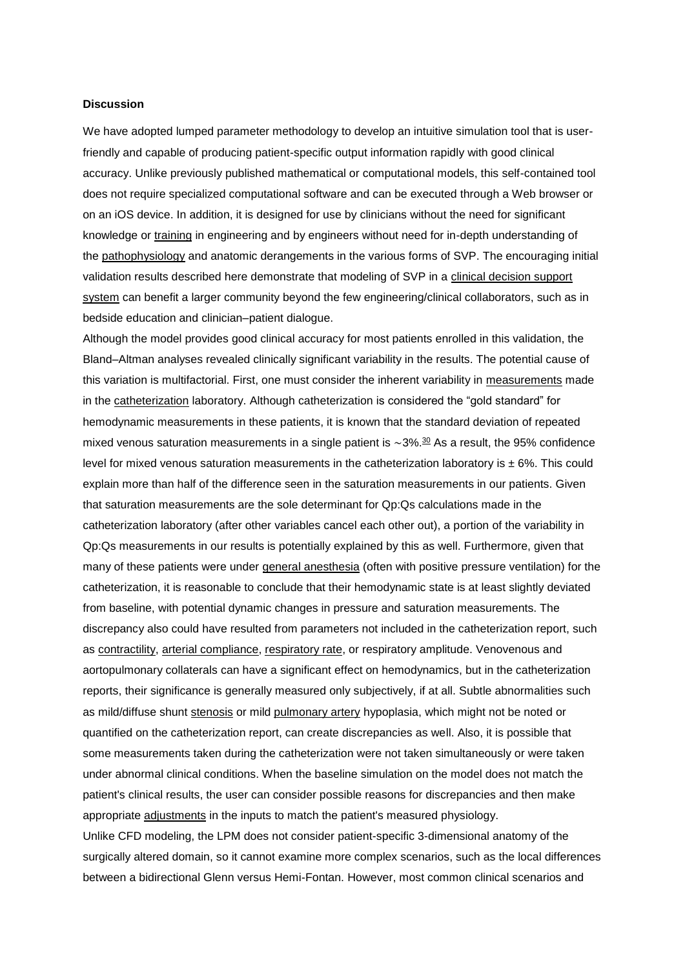#### **Discussion**

We have adopted lumped parameter methodology to develop an intuitive simulation tool that is userfriendly and capable of producing patient-specific output information rapidly with good clinical accuracy. Unlike previously published mathematical or computational models, this self-contained tool does not require specialized computational software and can be executed through a Web browser or on an iOS device. In addition, it is designed for use by clinicians without the need for significant knowledge or [training](https://www.sciencedirect.com/topics/medicine-and-dentistry/athletic-training) in engineering and by engineers without need for in-depth understanding of the [pathophysiology](https://www.sciencedirect.com/topics/medicine-and-dentistry/pathophysiology) and anatomic derangements in the various forms of SVP. The encouraging initial validation results described here demonstrate that modeling of SVP in a [clinical decision support](https://www.sciencedirect.com/topics/medicine-and-dentistry/clinical-decision-support-system)  [system](https://www.sciencedirect.com/topics/medicine-and-dentistry/clinical-decision-support-system) can benefit a larger community beyond the few engineering/clinical collaborators, such as in bedside education and clinician–patient dialogue.

Although the model provides good clinical accuracy for most patients enrolled in this validation, the Bland–Altman analyses revealed clinically significant variability in the results. The potential cause of this variation is multifactorial. First, one must consider the inherent variability in [measurements](https://www.sciencedirect.com/topics/medicine-and-dentistry/measurement) made in the [catheterization](https://www.sciencedirect.com/topics/medicine-and-dentistry/catheterization) laboratory. Although catheterization is considered the "gold standard" for hemodynamic measurements in these patients, it is known that the standard deviation of repeated mixed venous saturation measurements in a single patient is ∼3%.[30](https://www.sciencedirect.com/science/article/pii/S0022522317319633?via%3Dihub#bib30) As a result, the 95% confidence level for mixed venous saturation measurements in the catheterization laboratory is  $\pm$  6%. This could explain more than half of the difference seen in the saturation measurements in our patients. Given that saturation measurements are the sole determinant for Qp:Qs calculations made in the catheterization laboratory (after other variables cancel each other out), a portion of the variability in Qp:Qs measurements in our results is potentially explained by this as well. Furthermore, given that many of these patients were under [general anesthesia](https://www.sciencedirect.com/topics/medicine-and-dentistry/general-anaesthesia) (often with positive pressure ventilation) for the catheterization, it is reasonable to conclude that their hemodynamic state is at least slightly deviated from baseline, with potential dynamic changes in pressure and saturation measurements. The discrepancy also could have resulted from parameters not included in the catheterization report, such as [contractility,](https://www.sciencedirect.com/topics/medicine-and-dentistry/muscle-contractility) [arterial compliance,](https://www.sciencedirect.com/topics/medicine-and-dentistry/artery-compliance) [respiratory rate,](https://www.sciencedirect.com/topics/medicine-and-dentistry/breathing-rate) or respiratory amplitude. Venovenous and aortopulmonary collaterals can have a significant effect on hemodynamics, but in the catheterization reports, their significance is generally measured only subjectively, if at all. Subtle abnormalities such as mild/diffuse shunt [stenosis](https://www.sciencedirect.com/topics/medicine-and-dentistry/stenosis) or mild [pulmonary artery](https://www.sciencedirect.com/topics/medicine-and-dentistry/pulmonary-artery) hypoplasia, which might not be noted or quantified on the catheterization report, can create discrepancies as well. Also, it is possible that some measurements taken during the catheterization were not taken simultaneously or were taken under abnormal clinical conditions. When the baseline simulation on the model does not match the patient's clinical results, the user can consider possible reasons for discrepancies and then make appropriate [adjustments](https://www.sciencedirect.com/topics/medicine-and-dentistry/adjustment) in the inputs to match the patient's measured physiology. Unlike CFD modeling, the LPM does not consider patient-specific 3-dimensional anatomy of the

surgically altered domain, so it cannot examine more complex scenarios, such as the local differences between a bidirectional Glenn versus Hemi-Fontan. However, most common clinical scenarios and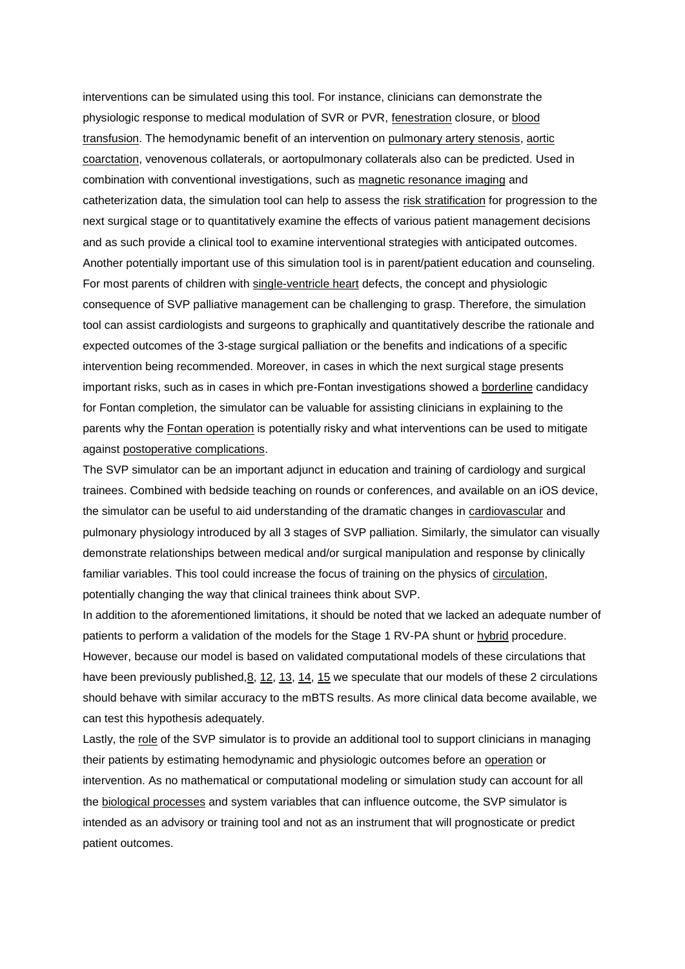interventions can be simulated using this tool. For instance, clinicians can demonstrate the physiologic response to medical modulation of SVR or PVR, [fenestration](https://www.sciencedirect.com/topics/medicine-and-dentistry/fenestration) closure, or [blood](https://www.sciencedirect.com/topics/medicine-and-dentistry/blood-transfusion)  [transfusion.](https://www.sciencedirect.com/topics/medicine-and-dentistry/blood-transfusion) The hemodynamic benefit of an intervention on [pulmonary artery stenosis,](https://www.sciencedirect.com/topics/medicine-and-dentistry/pulmonary-artery-stenosis) [aortic](https://www.sciencedirect.com/topics/medicine-and-dentistry/coarctation-of-the-aorta)  [coarctation,](https://www.sciencedirect.com/topics/medicine-and-dentistry/coarctation-of-the-aorta) venovenous collaterals, or aortopulmonary collaterals also can be predicted. Used in combination with conventional investigations, such as [magnetic resonance imaging](https://www.sciencedirect.com/topics/medicine-and-dentistry/magnetic-resonance-imaging) and catheterization data, the simulation tool can help to assess the [risk stratification](https://www.sciencedirect.com/topics/medicine-and-dentistry/risk-stratification) for progression to the next surgical stage or to quantitatively examine the effects of various patient management decisions and as such provide a clinical tool to examine interventional strategies with anticipated outcomes. Another potentially important use of this simulation tool is in parent/patient education and counseling. For most parents of children with [single-ventricle heart](https://www.sciencedirect.com/topics/medicine-and-dentistry/heart-single-ventricle) defects, the concept and physiologic consequence of SVP palliative management can be challenging to grasp. Therefore, the simulation tool can assist cardiologists and surgeons to graphically and quantitatively describe the rationale and expected outcomes of the 3-stage surgical palliation or the benefits and indications of a specific intervention being recommended. Moreover, in cases in which the next surgical stage presents important risks, such as in cases in which pre-Fontan investigations showed a [borderline](https://www.sciencedirect.com/topics/medicine-and-dentistry/borderline-personality-disorder) candidacy for Fontan completion, the simulator can be valuable for assisting clinicians in explaining to the parents why the [Fontan operation](https://www.sciencedirect.com/topics/medicine-and-dentistry/fontan-procedure) is potentially risky and what interventions can be used to mitigate against [postoperative complications.](https://www.sciencedirect.com/topics/medicine-and-dentistry/postoperative-complication)

The SVP simulator can be an important adjunct in education and training of cardiology and surgical trainees. Combined with bedside teaching on rounds or conferences, and available on an iOS device, the simulator can be useful to aid understanding of the dramatic changes in [cardiovascular](https://www.sciencedirect.com/topics/medicine-and-dentistry/cardiovascular-system) and pulmonary physiology introduced by all 3 stages of SVP palliation. Similarly, the simulator can visually demonstrate relationships between medical and/or surgical manipulation and response by clinically familiar variables. This tool could increase the focus of training on the physics of [circulation,](https://www.sciencedirect.com/topics/medicine-and-dentistry/circulation) potentially changing the way that clinical trainees think about SVP.

In addition to the aforementioned limitations, it should be noted that we lacked an adequate number of patients to perform a validation of the models for the Stage 1 RV-PA shunt or [hybrid](https://www.sciencedirect.com/topics/medicine-and-dentistry/hybrid) procedure. However, because our model is based on validated computational models of these circulations that have been previously published, 8, [12,](https://www.sciencedirect.com/science/article/pii/S0022522317319633?via%3Dihub#bib12) [13,](https://www.sciencedirect.com/science/article/pii/S0022522317319633?via%3Dihub#bib13) [14,](https://www.sciencedirect.com/science/article/pii/S0022522317319633?via%3Dihub#bib14) [15](https://www.sciencedirect.com/science/article/pii/S0022522317319633?via%3Dihub#bib15) we speculate that our models of these 2 circulations should behave with similar accuracy to the mBTS results. As more clinical data become available, we can test this hypothesis adequately.

Lastly, the [role](https://www.sciencedirect.com/topics/medicine-and-dentistry/role-playing) of the SVP simulator is to provide an additional tool to support clinicians in managing their patients by estimating hemodynamic and physiologic outcomes before an [operation](https://www.sciencedirect.com/topics/medicine-and-dentistry/surgery) or intervention. As no mathematical or computational modeling or simulation study can account for all the [biological processes](https://www.sciencedirect.com/topics/medicine-and-dentistry/biological-phenomena-and-functions-concerning-the-entire-organism) and system variables that can influence outcome, the SVP simulator is intended as an advisory or training tool and not as an instrument that will prognosticate or predict patient outcomes.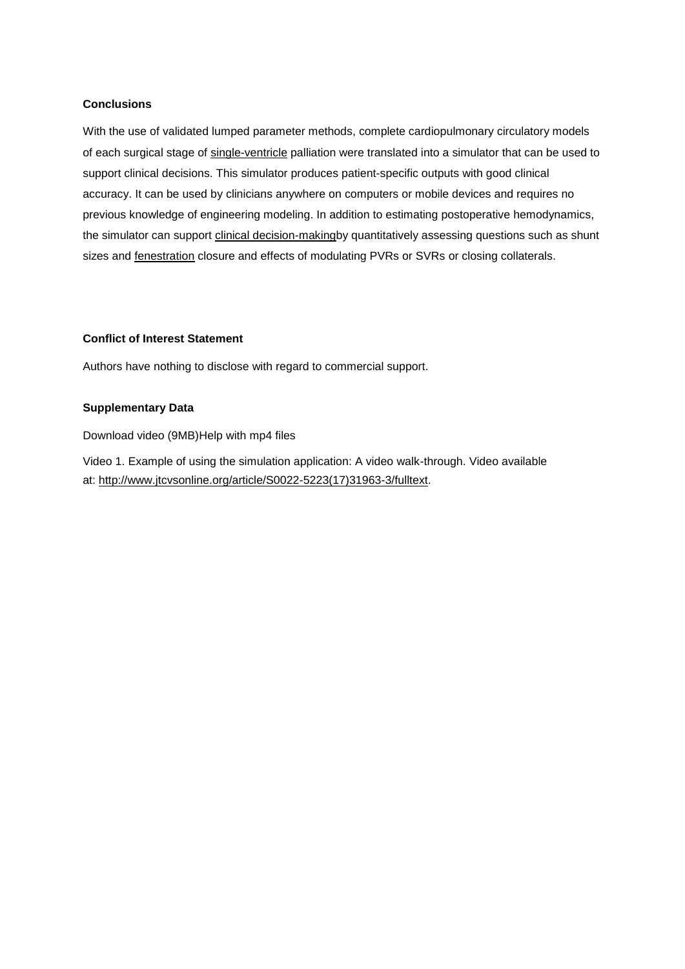## **Conclusions**

With the use of validated lumped parameter methods, complete cardiopulmonary circulatory models of each surgical stage of [single-ventricle](https://www.sciencedirect.com/topics/medicine-and-dentistry/heart-single-ventricle) palliation were translated into a simulator that can be used to support clinical decisions. This simulator produces patient-specific outputs with good clinical accuracy. It can be used by clinicians anywhere on computers or mobile devices and requires no previous knowledge of engineering modeling. In addition to estimating postoperative hemodynamics, the simulator can support [clinical decision-makingb](https://www.sciencedirect.com/topics/medicine-and-dentistry/clinical-decision-making)y quantitatively assessing questions such as shunt sizes and [fenestration](https://www.sciencedirect.com/topics/medicine-and-dentistry/fenestration) closure and effects of modulating PVRs or SVRs or closing collaterals.

## **Conflict of Interest Statement**

Authors have nothing to disclose with regard to commercial support.

## **Supplementary Data**

[Download video \(9MB\)Help with mp4 files](https://ars.els-cdn.com/content/image/1-s2.0-S0022522317319633-mmc1.mp4)

Video 1. Example of using the simulation application: A video walk-through. Video available at: [http://www.jtcvsonline.org/article/S0022-5223\(17\)31963-3/fulltext.](http://www.jtcvsonline.org/article/S0022-5223(17)31963-3/fulltext)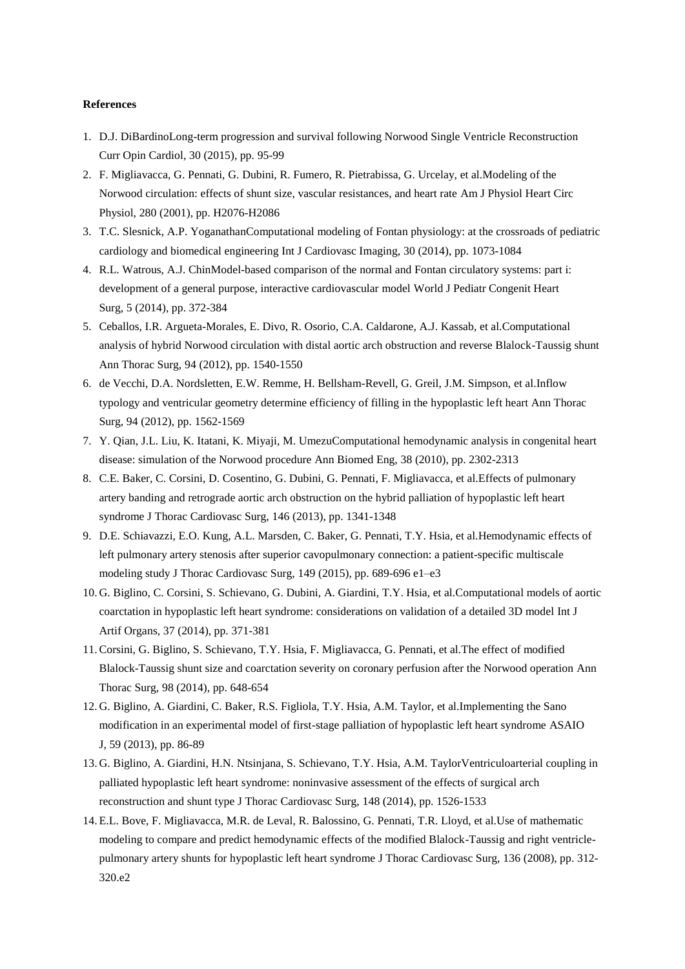#### **References**

- 1. D.J. DiBardinoLong-term progression and survival following Norwood Single Ventricle Reconstruction Curr Opin Cardiol, 30 (2015), pp. 95-99
- 2. F. Migliavacca, G. Pennati, G. Dubini, R. Fumero, R. Pietrabissa, G. Urcelay, et al.Modeling of the Norwood circulation: effects of shunt size, vascular resistances, and heart rate Am J Physiol Heart Circ Physiol, 280 (2001), pp. H2076-H2086
- 3. T.C. Slesnick, A.P. YoganathanComputational modeling of Fontan physiology: at the crossroads of pediatric cardiology and biomedical engineering Int J Cardiovasc Imaging, 30 (2014), pp. 1073-1084
- 4. R.L. Watrous, A.J. ChinModel-based comparison of the normal and Fontan circulatory systems: part i: development of a general purpose, interactive cardiovascular model World J Pediatr Congenit Heart Surg, 5 (2014), pp. 372-384
- 5. Ceballos, I.R. Argueta-Morales, E. Divo, R. Osorio, C.A. Caldarone, A.J. Kassab, et al.Computational analysis of hybrid Norwood circulation with distal aortic arch obstruction and reverse Blalock-Taussig shunt Ann Thorac Surg, 94 (2012), pp. 1540-1550
- 6. de Vecchi, D.A. Nordsletten, E.W. Remme, H. Bellsham-Revell, G. Greil, J.M. Simpson, et al.Inflow typology and ventricular geometry determine efficiency of filling in the hypoplastic left heart Ann Thorac Surg, 94 (2012), pp. 1562-1569
- 7. Y. Qian, J.L. Liu, K. Itatani, K. Miyaji, M. UmezuComputational hemodynamic analysis in congenital heart disease: simulation of the Norwood procedure Ann Biomed Eng, 38 (2010), pp. 2302-2313
- 8. C.E. Baker, C. Corsini, D. Cosentino, G. Dubini, G. Pennati, F. Migliavacca, et al.Effects of pulmonary artery banding and retrograde aortic arch obstruction on the hybrid palliation of hypoplastic left heart syndrome J Thorac Cardiovasc Surg, 146 (2013), pp. 1341-1348
- 9. D.E. Schiavazzi, E.O. Kung, A.L. Marsden, C. Baker, G. Pennati, T.Y. Hsia, et al.Hemodynamic effects of left pulmonary artery stenosis after superior cavopulmonary connection: a patient-specific multiscale modeling study J Thorac Cardiovasc Surg, 149 (2015), pp. 689-696 e1–e3
- 10. G. Biglino, C. Corsini, S. Schievano, G. Dubini, A. Giardini, T.Y. Hsia, et al.Computational models of aortic coarctation in hypoplastic left heart syndrome: considerations on validation of a detailed 3D model Int J Artif Organs, 37 (2014), pp. 371-381
- 11.Corsini, G. Biglino, S. Schievano, T.Y. Hsia, F. Migliavacca, G. Pennati, et al.The effect of modified Blalock-Taussig shunt size and coarctation severity on coronary perfusion after the Norwood operation Ann Thorac Surg, 98 (2014), pp. 648-654
- 12. G. Biglino, A. Giardini, C. Baker, R.S. Figliola, T.Y. Hsia, A.M. Taylor, et al.Implementing the Sano modification in an experimental model of first-stage palliation of hypoplastic left heart syndrome ASAIO J, 59 (2013), pp. 86-89
- 13. G. Biglino, A. Giardini, H.N. Ntsinjana, S. Schievano, T.Y. Hsia, A.M. TaylorVentriculoarterial coupling in palliated hypoplastic left heart syndrome: noninvasive assessment of the effects of surgical arch reconstruction and shunt type J Thorac Cardiovasc Surg, 148 (2014), pp. 1526-1533
- 14. E.L. Bove, F. Migliavacca, M.R. de Leval, R. Balossino, G. Pennati, T.R. Lloyd, et al.Use of mathematic modeling to compare and predict hemodynamic effects of the modified Blalock-Taussig and right ventriclepulmonary artery shunts for hypoplastic left heart syndrome J Thorac Cardiovasc Surg, 136 (2008), pp. 312- 320.e2